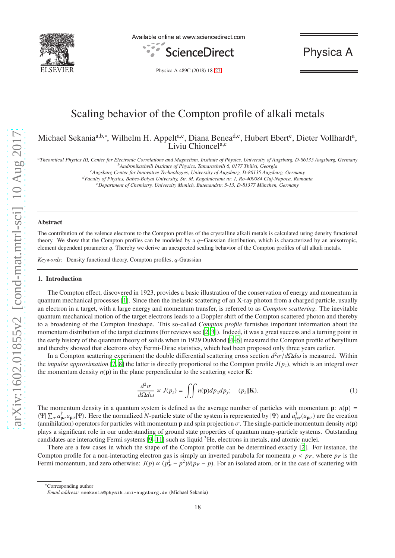

Available online at www.sciencedirect.com



Physica A

Physica A 489C (2018) 18[–27](#page-8-0)

# Scaling behavior of the Compton profile of alkali metals

Michael Sekania<sup>a,b,∗</sup>, Wilhelm H. Appelt<sup>a,c</sup>, Diana Benea<sup>d,e</sup>, Hubert Ebert<sup>e</sup>, Dieter Vollhardt<sup>a</sup>, Liviu Chioncel<sup>a,c</sup>

*<sup>a</sup>Theoretical Physics III, Center for Electronic Correlations and Magnetism, Institute of Physics, University of Augsburg, D-86135 Augsburg, Germany*

*<sup>c</sup>Augsburg Center for Innovative Technologies, University of Augsburg, D-86135 Augsburg, Germany*

*<sup>d</sup>Faculty of Physics, Babes-Bolyai University, Str. M. Kogalniceanu nr. 1, Ro-400084 Cluj-Napoca, Romania*

*<sup>e</sup>Department of Chemistry, University Munich, Butenandstr. 5-13, D-81377 M ¨unchen, Germany*

#### Abstract

The contribution of the valence electrons to the Compton profiles of the crystalline alkali metals is calculated using density functional theory. We show that the Compton profiles can be modeled by a *q*−Gaussian distribution, which is characterized by an anisotropic, element dependent parameter *q*. Thereby we derive an unexpected scaling behavior of the Compton profiles of all alkali metals.

*Keywords:* Density functional theory, Compton profiles, *q*-Gaussian

#### 1. Introduction

The Compton effect, discovered in 1923, provides a basic illustration of the conservation of energy and momentum in quantum mechanical processes [\[1\]](#page-8-1). Since then the inelastic scattering of an X-ray photon from a charged particle, usually an electron in a target, with a large energy and momentum transfer, is referred to as *Compton scattering*. The inevitable quantum mechanical motion of the target electrons leads to a Doppler shift of the Compton scattered photon and thereby to a broadening of the Compton lineshape. This so-called *Compton profile* furnishes important information about the momentum distribution of the target electrons (for reviews see [\[2,](#page-8-2) [3](#page-8-3)]). Indeed, it was a great success and a turning point in the early history of the quantum theory of solids when in 1929 DuMond [\[4](#page-8-4)[–6](#page-8-5)] measured the Compton profile of beryllium and thereby showed that electrons obey Fermi-Dirac statistics, which had been proposed only three years earlier.

In a Compton scattering experiment the double differential scattering cross section *d* <sup>2</sup>σ/*d*Ω*d*ω is measured. Within the *impulse approximation* [\[7,](#page-8-6) [8\]](#page-8-7) the latter is directly proportional to the Compton profile  $J(p_z)$ , which is an integral over the momentum density  $n(\bf{p})$  in the plane perpendicular to the scattering vector **K**:

<span id="page-0-0"></span>
$$
\frac{d^2\sigma}{d\Omega d\omega} \propto J(p_z) = \iint n(\mathbf{p}) dp_x dp_y; \quad (p_z||\mathbf{K}).
$$
\n(1)

The momentum density in a quantum system is defined as the average number of particles with momentum  $\mathbf{p}$ :  $n(\mathbf{p})$  =  $\langle \Psi | \sum_{\sigma} a_{\mathbf{p}\sigma}^{\dagger} a_{\mathbf{p}\sigma} | \Psi \rangle$ . Here the normalized *N*-particle state of the system is represented by  $| \Psi \rangle$  and  $a_{\mathbf{p}\sigma}^{\dagger} (a_{\mathbf{p}\sigma})$  are the creation (annihilation) operators for particles with momentum **p** and spin projection  $\sigma$ . The single-particle momentum density  $n(\bf{p})$ plays a significant role in our understanding of ground state properties of quantum many-particle systems. Outstanding candidates are interacting Fermi systems  $[9-11]$  $[9-11]$  such as liquid  ${}^{3}$ He, electrons in metals, and atomic nuclei.

There are a few cases in which the shape of the Compton profile can be determined exactly [\[2](#page-8-2)]. For instance, the Compton profile for a non-interacting electron gas is simply an inverted parabola for momenta  $p < p_F$ , where  $p_F$  is the Fermi momentum, and zero otherwise:  $J(p) \propto (p_F^2 - p^2)\theta(p_F - p)$ . For an isolated atom, or in the case of scattering with

*<sup>b</sup>Andronikashvili Institute of Physics, Tamarashvili 6, 0177 Tbilisi, Georgia*

<sup>∗</sup>Corresponding author

*Email address:* msekania@physik.uni-augsburg.de (Michael Sekania)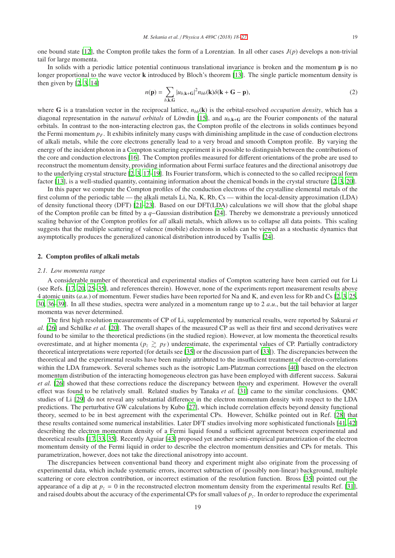one bound state [\[12\]](#page-8-10), the Compton profile takes the form of a Lorentzian. In all other cases  $J(p)$  develops a non-trivial tail for large momenta.

In solids with a periodic lattice potential continuous translational invariance is broken and the momentum **p** is no longer proportional to the wave vector **k** introduced by Bloch's theorem [\[13\]](#page-8-11). The single particle momentum density is then given by [\[2](#page-8-2), [3](#page-8-3), [14](#page-8-12)]

$$
n(\mathbf{p}) = \sum_{b,\mathbf{k},\mathbf{G}} |u_{b,\mathbf{k}+\mathbf{G}}|^2 n_{bb}(\mathbf{k}) \delta(\mathbf{k}+\mathbf{G}-\mathbf{p}),
$$
 (2)

where G is a translation vector in the reciprocal lattice,  $n_{bb}(\mathbf{k})$  is the orbital-resolved *occupation density*, which has a diagonal representation in the *natural orbitals* of Löwdin [\[15](#page-8-13)], and  $u_{b,k+G}$  are the Fourier components of the natural orbitals. In contrast to the non-interacting electron gas, the Compton profile of the electrons in solids continues beyond the Fermi momentum *pF*. It exhibits infinitely many cusps with diminishing amplitude in the case of conduction electrons of alkali metals, while the core electrons generally lead to a very broad and smooth Compton profile. By varying the energy of the incident photon in a Compton scattering experiment it is possible to distinguish between the contributions of the core and conduction electrons [\[16](#page-8-14)]. The Compton profiles measured for different orientations of the probe are used to reconstruct the momentum density, providing information about Fermi surface features and the directional anisotropy due to the underlying crystal structure [\[2](#page-8-2), [3,](#page-8-3) [17](#page-8-15)[–19\]](#page-8-16). Its Fourier transform, which is connected to the so called reciprocal form factor [\[13\]](#page-8-11), is a well-studied quantity, containing information about the chemical bonds in the crystal structure [\[2,](#page-8-2) [3](#page-8-3), [20](#page-8-17)].

In this paper we compute the Compton profiles of the conduction electrons of the crystalline elemental metals of the first column of the periodic table — the alkali metals Li, Na, K, Rb, Cs — within the local-density approximation (LDA) of density functional theory (DFT) [\[21](#page-8-18)[–23](#page-8-19)]. Based on our DFT(LDA) calculations we will show that the global shape of the Compton profile can be fitted by a *q*−Gaussian distribution [\[24\]](#page-8-20). Thereby we demonstrate a previously unnoticed scaling behavior of the Compton profiles for *all* alkali metals, which allows us to collapse all data points. This scaling suggests that the multiple scattering of valence (mobile) electrons in solids can be viewed as a stochastic dynamics that asymptotically produces the generalized canonical distribution introduced by Tsallis [\[24](#page-8-20)].

# 2. Compton profiles of alkali metals

#### *2.1. Low momenta range*

A considerable number of theoretical and experimental studies of Compton scattering have been carried out for Li (see Refs. [\[17](#page-8-15), [20](#page-8-17), [25](#page-8-21)[–35\]](#page-8-22), and references therein). However, none of the experiments report measurement results above 4 atomic units (*a*.*u*.) of momentum. Fewer studies have been reported for Na and K, and even less for Rb and Cs [\[2,](#page-8-2) [3](#page-8-3), [25](#page-8-21), [30,](#page-8-23) [36](#page-8-24)[–39\]](#page-9-0). In all these studies, spectra were analyzed in a momentum range up to 2 *a*.*u*., but the tail behavior at larger momenta was never determined.

The first high resolution measurements of CP of Li, supplemented by numerical results, were reported by Sakurai *et al.* [\[26\]](#page-8-25) and Schülke *et al.* [\[20\]](#page-8-17). The overall shapes of the measured CP as well as their first and second derivatives were found to be similar to the theoretical predictions (in the studied region). However, at low momenta the theoretical results overestimate, and at higher momenta ( $p_z \geq p_F$ ) underestimate, the experimental values of CP. Partially contradictory theoretical interpretations were reported (for details see [\[35\]](#page-8-22) or the discussion part of [\[33\]](#page-8-26)). The discrepancies between the theoretical and the experimental results have been mainly attributed to the insufficient treatment of electron-correlations within the LDA framework. Several schemes such as the isotropic Lam-Platzman corrections [\[40](#page-9-1)] based on the electron momentum distribution of the interacting homogeneous electron gas have been employed with different success. Sakurai *et al.* [\[26](#page-8-25)] showed that these corrections reduce the discrepancy between theory and experiment. However the overall effect was found to be relatively small. Related studies by Tanaka *et al.* [\[31\]](#page-8-27) came to the similar conclusions. QMC studies of Li [\[29](#page-8-28)] do not reveal any substantial difference in the electron momentum density with respect to the LDA predictions. The perturbative GW calculations by Kubo [\[27](#page-8-29)], which include correlation effects beyond density functional theory, seemed to be in best agreement with the experimental CPs. However, Schülke pointed out in Ref. [\[28\]](#page-8-30) that these results contained some numerical instabilities. Later DFT studies involving more sophisticated functionals [\[41](#page-9-2), [42](#page-9-3)] describing the electron momentum density of a Fermi liquid found a sufficient agreement between experimental and theoretical results [\[17,](#page-8-15) [33,](#page-8-26) [35\]](#page-8-22). Recently Aguiar [\[43\]](#page-9-4) proposed yet another semi-empirical parametrization of the electron momentum density of the Fermi liquid in order to describe the electron momentum densities and CPs for metals. This parametrization, however, does not take the directional anisotropy into account.

The discrepancies between conventional band theory and experiment might also originate from the processing of experimental data, which include systematic errors, incorrect subtraction of (possibly non-linear) background, multiple scattering or core electron contribution, or incorrect estimation of the resolution function. Bross [\[35\]](#page-8-22) pointed out the appearance of a dip at  $p_z = 0$  in the reconstructed electron momentum density from the experimental results Ref. [\[31\]](#page-8-27), and raised doubts about the accuracy of the experimental CPs for small values of  $p_z$ . In order to reproduce the experimental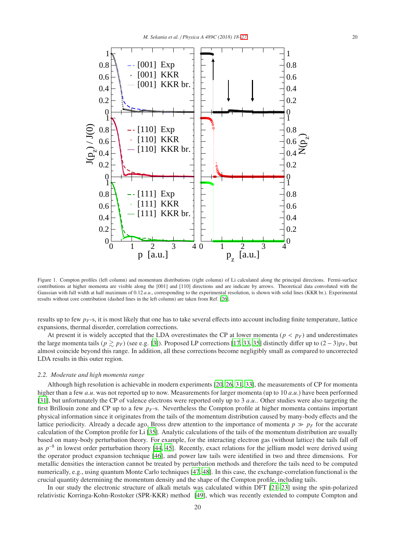

<span id="page-2-0"></span>Figure 1. Compton profiles (left column) and momentum distributions (right column) of Li calculated along the principal directions. Fermi-surface contributions at higher momenta are visible along the [001] and [110] directions and are indicate by arrows. Theoretical data convoluted with the Gaussian with full width at half maximum of 0.12 *a.u.*, corresponding to the experimental resolution, is shown with solid lines (KKR br.). Experimental results without core contribution (dashed lines in the left column) are taken from Ref. [\[26\]](#page-8-25).

results up to few  $p_F$ -s, it is most likely that one has to take several effects into account including finite temperature, lattice expansions, thermal disorder, correlation corrections.

At present it is widely accepted that the LDA overestimates the CP at lower momenta ( $p < p_F$ ) and underestimates the large momenta tails ( $p \geq p_F$ ) (see e.g. [\[3\]](#page-8-3)). Proposed LP corrections [\[17](#page-8-15), [33](#page-8-26), [35](#page-8-22)] distinctly differ up to  $(2-3)p_F$ , but almost coincide beyond this range. In addition, all these corrections become negligibly small as compared to uncorrected LDA results in this outer region.

## *2.2. Moderate and high momenta range*

Although high resolution is achievable in modern experiments [\[20](#page-8-17), [26](#page-8-25), [31,](#page-8-27) [33\]](#page-8-26), the measurements of CP for momenta higher than a few *a*.*u*. was not reported up to now. Measurements for larger momenta (up to 10 *a*.*u*.) have been performed [\[31\]](#page-8-27), but unfortunately the CP of valence electrons were reported only up to 3 *a*.*u*.. Other studies were also targeting the first Brillouin zone and CP up to a few  $p_F$ -s. Nevertheless the Compton profile at higher momenta contains important physical information since it originates from the tails of the momentum distribution caused by many-body effects and the lattice periodicity. Already a decade ago, Bross drew attention to the importance of momenta  $p \gg p_F$  for the accurate calculation of the Compton profile for Li [\[35\]](#page-8-22). Analytic calculations of the tails of the momentum distribution are usually based on many-body perturbation theory. For example, for the interacting electron gas (without lattice) the tails fall off as  $p^{-8}$  in lowest order perturbation theory [\[44](#page-9-5), [45\]](#page-9-6). Recently, exact relations for the jellium model were derived using the operator product expansion technique [\[46\]](#page-9-7), and power law tails were identified in two and three dimensions. For metallic densities the interaction cannot be treated by perturbation methods and therefore the tails need to be computed numerically, e.g., using quantum Monte Carlo techniques [\[47](#page-9-8), [48](#page-9-9)]. In this case, the exchange-correlation functional is the crucial quantity determining the momentum density and the shape of the Compton profile, including tails.

In our study the electronic structure of alkali metals was calculated within DFT [\[21](#page-8-18)[–23\]](#page-8-19) using the spin-polarized relativistic Korringa-Kohn-Rostoker (SPR-KKR) method [\[49](#page-9-10)], which was recently extended to compute Compton and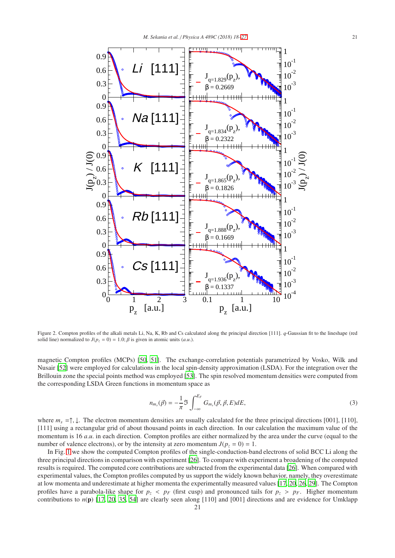

<span id="page-3-0"></span>Figure 2. Compton profiles of the alkali metals Li, Na, K, Rb and Cs calculated along the principal direction [111]. *q*-Gaussian fit to the lineshape (red solid line) normalized to  $J(p_z = 0) = 1.0$ ;  $\beta$  is given in atomic units (*a.u.*).

magnetic Compton profiles (MCPs) [\[50,](#page-9-11) [51\]](#page-9-12). The exchange-correlation potentials parametrized by Vosko, Wilk and Nusair [\[52](#page-9-13)] were employed for calculations in the local spin-density approximation (LSDA). For the integration over the Brillouin zone the special points method was employed [\[53\]](#page-9-14). The spin resolved momentum densities were computed from the corresponding LSDA Green functions in momentum space as

$$
n_{m_s}(\vec{p}) = -\frac{1}{\pi} \Im \int_{-\infty}^{E_F} G_{m_s}(\vec{p}, \vec{p}, E) dE,
$$
\n(3)

where  $m_s = \uparrow, \downarrow$ . The electron momentum densities are usually calculated for the three principal directions [001], [110], [111] using a rectangular grid of about thousand points in each direction. In our calculation the maximum value of the momentum is 16 *a.u*. in each direction. Compton profiles are either normalized by the area under the curve (equal to the number of valence electrons), or by the intensity at zero momentum  $J(p_z = 0) = 1$ .

In Fig. [1](#page-2-0) we show the computed Compton profiles of the single-conduction-band electrons of solid BCC Li along the three principal directions in comparison with experiment [\[26\]](#page-8-25). To compare with experiment a broadening of the computed results is required. The computed core contributions are subtracted from the experimental data [\[26\]](#page-8-25). When compared with experimental values, the Compton profiles computed by us support the widely known behavior, namely, they overestimate at low momenta and underestimate at higher momenta the experimentally measured values [\[17,](#page-8-15) [20,](#page-8-17) [26](#page-8-25), [29\]](#page-8-28). The Compton profiles have a parabola-like shape for  $p_z$  <  $p_F$  (first cusp) and pronounced tails for  $p_z$  >  $p_F$ . Higher momentum contributions to *n*(p) [\[17,](#page-8-15) [20](#page-8-17), [35](#page-8-22), [54\]](#page-9-15) are clearly seen along [110] and [001] directions and are evidence for Umklapp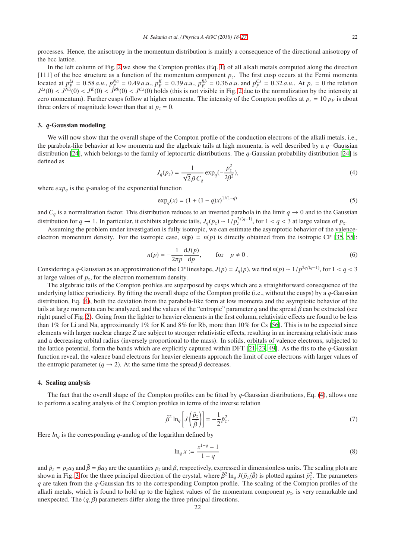processes. Hence, the anisotropy in the momentum distribution is mainly a consequence of the directional anisotropy of the bcc lattice.

In the left column of Fig. [2](#page-3-0) we show the Compton profiles (Eq. [1\)](#page-0-0) of all alkali metals computed along the direction [111] of the bcc structure as a function of the momentum component  $p_z$ . The first cusp occurs at the Fermi momenta located at  $p_F^{Li} = 0.58 a.u., p_F^{Na} = 0.49 a.u., p_F^K = 0.39 a.u., p_F^{Rb} = 0.36 a.u.$  and  $p_F^{Cs} = 0.32 a.u..$  At  $p_z = 0$  the relation  $J^{Li}(0) < J^{Na}(0) < J^{K}(0) < J^{Rb}(0) < J^{Cs}(0)$  holds (this is not visible in Fig. [2](#page-3-0) due to the normalization by the intensity at  $J^{Li}(0) < J^{Na}(0) < J^{Rb}(0) < J^{Cs}(0)$  holds (this is not visible in Fig. 2 due to the normalization by the i zero momentum). Further cusps follow at higher momenta. The intensity of the Compton profiles at  $p_z = 10 p_F$  is about three orders of magnitude lower than that at  $p_z = 0$ .

### 3. *q*-Gaussian modeling

<span id="page-4-0"></span>We will now show that the overall shape of the Compton profile of the conduction electrons of the alkali metals, i.e., the parabola-like behavior at low momenta and the algebraic tails at high momenta, is well described by a *q*−Gaussian distribution [\[24](#page-8-20)], which belongs to the family of leptocurtic distributions. The *q*-Gaussian probability distribution [\[24](#page-8-20)] is defined as

$$
J_q(p_z) = \frac{1}{\sqrt{2}\beta C_q} \exp_q(-\frac{p_z^2}{2\beta^2}),
$$
\n(4)

where  $exp_q$  is the *q*-analog of the exponential function

$$
\exp_q(x) = (1 + (1 - q)x)^{1/(1 - q)}
$$
\n(5)

and  $C_q$  is a normalization factor. This distribution reduces to an inverted parabola in the limit  $q \to 0$  and to the Gaussian distribution for *q* → 1. In particular, it exhibits algebraic tails,  $J_q(p_z) \sim 1/p_z^{2/(q-1)}$ , for  $1 < q < 3$  at large values of  $p_z$ .

Assuming the problem under investigation is fully isotropic, we can estimate the asymptotic behavior of the valenceelectron momentum density. For the isotropic case,  $n(\mathbf{p}) = n(p)$  is directly obtained from the isotropic CP [\[35,](#page-8-22) [55\]](#page-9-16):

$$
n(p) = -\frac{1}{2\pi p} \frac{\mathrm{d}J(p)}{\mathrm{d}p}, \qquad \text{for} \quad p \neq 0. \tag{6}
$$

Considering a *q*-Gaussian as an approximation of the CP lineshape,  $J(p) = J_q(p)$ , we find  $n(p) \sim 1/p^{2q/(q-1)}$ , for  $1 < q < 3$ at large values of  $p_z$ , for the electron momentum density.

The algebraic tails of the Compton profiles are superposed by cusps which are a straightforward consequence of the underlying lattice periodicity. By fitting the overall shape of the Compton profile (i.e., without the cusps) by a *q*-Gaussian distribution, Eq. [\(4\)](#page-4-0), both the deviation from the parabola-like form at low momenta and the asymptotic behavior of the tails at large momenta can be analyzed, and the values of the "entropic" parameter  $q$  and the spread  $\beta$  can be extracted (see right panel of Fig. [2\)](#page-3-0). Going from the lighter to heavier elements in the first column, relativistic effects are found to be less than 1% for Li and Na, approximately 1% for K and 8% for Rb, more than 10% for Cs [\[56\]](#page-9-17). This is to be expected since elements with larger nuclear charge *Z* are subject to stronger relativistic effects, resulting in an increasing relativistic mass and a decreasing orbital radius (inversely proportional to the mass). In solids, orbitals of valence electrons, subjected to the lattice potential, form the bands which are explicitly captured within DFT  $[21–23, 49]$  $[21–23, 49]$  $[21–23, 49]$ . As the fits to the *q*-Gaussian function reveal, the valence band electrons for heavier elements approach the limit of core electrons with larger values of the entropic parameter ( $q \rightarrow 2$ ). At the same time the spread  $\beta$  decreases.

#### 4. Scaling analysis

The fact that the overall shape of the Compton profiles can be fitted by *q*-Gaussian distributions, Eq. [\(4\)](#page-4-0), allows one to perform a scaling analysis of the Compton profiles in terms of the inverse relation

$$
\tilde{\beta}^2 \ln_q \left[ J \left( \frac{\tilde{p}_z}{\tilde{\beta}} \right) \right] = -\frac{1}{2} \tilde{p}_z^2. \tag{7}
$$

Here  $ln_q$  is the corresponding  $q$ -analog of the logarithm defined by

<span id="page-4-1"></span>
$$
\ln_q x := \frac{x^{1-q} - 1}{1-q}
$$
 (8)

and  $\tilde{p}_z = p_z a_0$  and  $\tilde{\beta} = \beta a_0$  are the quantities  $p_z$  and  $\beta$ , respectively, expressed in dimensionless units. The scaling plots are shown in Fig. [3](#page-5-0) for the three principal direction of the crystal, where  $\tilde{\beta}^2 \ln_q J(\tilde{p}_z/\tilde{\beta})$  is plotted against  $\tilde{p}_z^2$ . The parameters *q* are taken from the *q*-Gaussian fits to the corresponding Compton profile. The scaling of the Compton profiles of the alkali metals, which is found to hold up to the highest values of the momentum component *p<sup>z</sup>* , is very remarkable and unexpected. The  $(q, \beta)$  parameters differ along the three principal directions.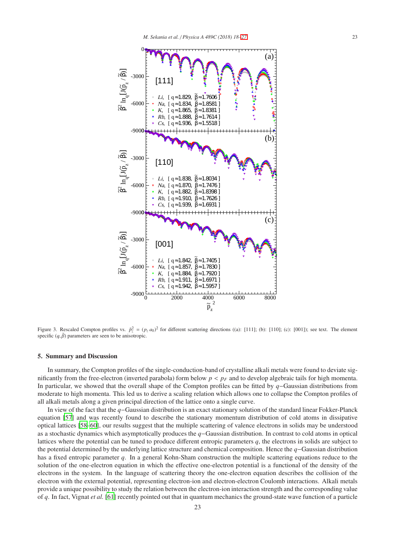

<span id="page-5-0"></span>Figure 3. Rescaled Compton profiles vs.  $\tilde{p}_z^2 = (p_z a_0)^2$  for different scattering directions ((a): [111]; (b): [110]; (c): [001]); see text. The element specific  $(q, \tilde{\beta})$  parameters are seen to be anisotropic.

# 5. Summary and Discussion

In summary, the Compton profiles of the single-conduction-band of crystalline alkali metals were found to deviate significantly from the free-electron (inverted parabola) form below  $p < p_F$  and to develop algebraic tails for high momenta. In particular, we showed that the overall shape of the Compton profiles can be fitted by *q*−Gaussian distributions from moderate to high momenta. This led us to derive a scaling relation which allows one to collapse the Compton profiles of all alkali metals along a given principal direction of the lattice onto a single curve.

In view of the fact that the *q*−Gaussian distribution is an exact stationary solution of the standard linear Fokker-Planck equation [\[57](#page-9-18)] and was recently found to describe the stationary momentum distribution of cold atoms in dissipative optical lattices [\[58](#page-9-19)[–60\]](#page-9-20), our results suggest that the multiple scattering of valence electrons in solids may be understood as a stochastic dynamics which asymptotically produces the *q*−Gaussian distribution. In contrast to cold atoms in optical lattices where the potential can be tuned to produce different entropic parameters *q*, the electrons in solids are subject to the potential determined by the underlying lattice structure and chemical composition. Hence the *q*−Gaussian distribution has a fixed entropic parameter *q*. In a general Kohn-Sham construction the multiple scattering equations reduce to the solution of the one-electron equation in which the effective one-electron potential is a functional of the density of the electrons in the system. In the language of scattering theory the one-electron equation describes the collision of the electron with the external potential, representing electron-ion and electron-electron Coulomb interactions. Alkali metals provide a unique possibility to study the relation between the electron-ion interaction strength and the corresponding value of *q*. In fact, Vignat *et al.* [\[61\]](#page-9-21) recently pointed out that in quantum mechanics the ground-state wave function of a particle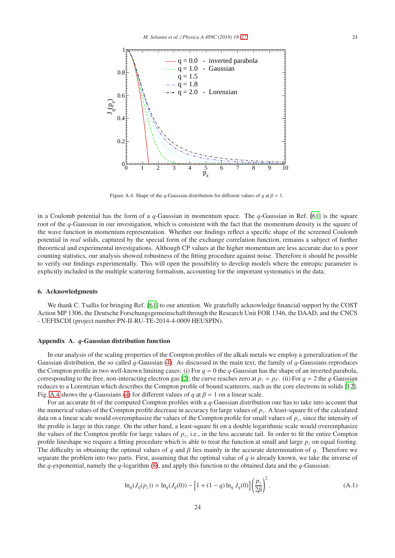

<span id="page-6-0"></span>Figure A.4. Shape of the *q*-Gaussian distribution for different values of *q* at  $\beta = 1$ .

in a Coulomb potential has the form of a *q*-Gaussian in momentum space. The *q*-Gaussian in Ref. [\[61](#page-9-21)] is the square root of the *q*-Gaussian in our investigation, which is consistent with the fact that the momentum density is the square of the wave function in momentum representation. Whether our findings reflect a specific shape of the screened Coulomb potential in *real* solids, captured by the special form of the exchange correlation function, remains a subject of further theoretical and experimental investigations. Although CP values at the higher momentum are less accurate due to a poor counting statistics, our analysis showed robustness of the fitting procedure against noise. Therefore it should be possible to verify our findings experimentally. This will open the possibility to develop models where the entropic parameter is explicitly included in the multiple scattering formalism, accounting for the important systematics in the data.

#### 6. Acknowledgments

We thank C. Tsallis for bringing Ref. [\[61\]](#page-9-21) to our attention. We gratefully acknowledge financial support by the COST Action MP 1306, the Deutsche Forschungsgemeinschaft through the Research Unit FOR 1346, the DAAD, and the CNCS - UEFISCDI (project number PN-II-RU-TE-2014-4-0009 HEUSPIN).

## Appendix A. *q*-Gaussian distribution function

In our analysis of the scaling properties of the Compton profiles of the alkali metals we employ a generalization of the Gaussian distribution, the so called *q*-Gaussian [\(4\)](#page-4-0). As discussed in the main text, the family of *q*-Gaussians reproduces the Compton profile in two well-known limiting cases: (i) For  $q = 0$  the  $q$ -Gaussian has the shape of an inverted parabola, corresponding to the free, non-interacting electron gas [\[2\]](#page-8-2); the curve reaches zero at  $p_z = p_F$ . (ii) For  $q = 2$  the *q*-Gaussian reduces to a Lorentzian which describes the Compton profile of bound scatterers, such as the core electrons in solids [\[12\]](#page-8-10). Fig. [A.4](#page-6-0) shows the *q*-Gaussians [\(4\)](#page-4-0) for different values of *q* at  $\beta = 1$  on a linear scale.

For an accurate fit of the computed Compton profiles with a *q*-Gaussian distribution one has to take into account that the numerical values of the Compton profile decrease in accuracy for large values of *p<sup>z</sup>* . A least-square fit of the calculated data on a linear scale would overemphasize the values of the Compton profile for small values of *p<sup>z</sup>* , since the intensity of the profile is large in this range. On the other hand, a least-square fit on a double logarithmic scale would overemphasize the values of the Compton profile for large values of  $p_z$ , i.e., in the less accurate tail. In order to fit the entire Compton profile lineshape we require a fitting procedure which is able to treat the function at small and large  $p_z$  on equal footing. The difficulty in obtaining the optimal values of *q* and β lies mainly in the accurate determination of *q*. Therefore we separate the problem into two parts. First, assuming that the optimal value of *q* is already known, we take the inverse of the *q*-exponential, namely the *q*-logarithm [\(8\)](#page-4-1), and apply this function to the obtained data and the *q*-Gaussian:

$$
\ln_q(J_q(p_z)) = \ln_q(J_q(0)) - \left[1 + (1 - q)\ln_q J_q(0)\right] \left(\frac{p_z}{2\beta}\right)^2.
$$
 (A.1)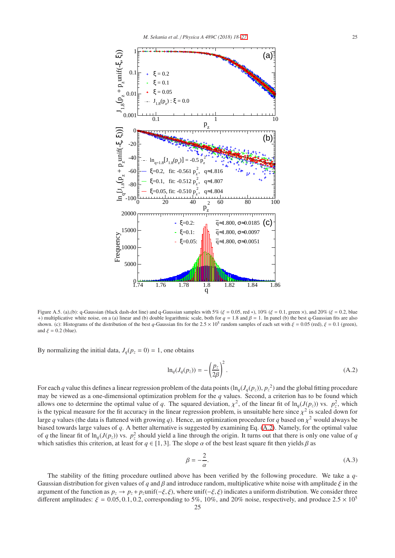

<span id="page-7-1"></span>Figure A.5. (a),(b): q-Gaussian (black dash-dot line) and q-Gaussian samples with 5% ( $\xi = 0.05$ , red  $*$ ), 10% ( $\xi = 0.1$ , green  $\times$ ), and 20% ( $\xi = 0.2$ , blue +) multiplicative white noise, on a (a) linear and (b) double logarithmic scale, both for  $q = 1.8$  and  $\beta = 1$ . In panel (b) the best q-Gaussian fits are also shown. (c): Histograms of the distribution of the best *q*-Gaussian fits for the  $2.5 \times 10^5$  random samples of each set with  $\xi = 0.05$  (red),  $\xi = 0.1$  (green), and  $\xi = 0.2$  (blue).

By normalizing the initial data,  $J_q(p_z = 0) = 1$ , one obtains

<span id="page-7-0"></span>
$$
\ln_q(J_q(p_z)) = -\left(\frac{p_z}{2\beta}\right)^2.
$$
\n(A.2)

For each *q* value this defines a linear regression problem of the data points  $(\ln_q(J_q(p_z)), p_z^2)$  and the global fitting procedure may be viewed as a one-dimensional optimization problem for the *q* values. Second, a criterion has to be found which allows one to determine the optimal value of *q*. The squared deviation,  $\chi^2$ , of the linear fit of  $\ln_q(J(p_z))$  vs.  $p_z^2$ , which is the typical measure for the fit accuracy in the linear regression problem, is unsuitable here since  $\chi^2$  is scaled down for large *q* values (the data is flattened with growing *q*). Hence, an optimization procedure for *q* based on χ <sup>2</sup> would always be biased towards large values of *q*. A better alternative is suggested by examining Eq. [\(A.2\)](#page-7-0). Namely, for the optimal value of *q* the linear fit of ln<sub>q</sub>(*J*(*p*<sub>*z*</sub>)) vs. *p*<sup>2</sup><sub>*z*</sub> should yield a line through the origin. It turns out that there is only one value of *q* which satisfies this criterion, at least for  $q \in [1, 3]$ . The slope  $\alpha$  of the best least square fit then yields  $\beta$  as

$$
\beta = -\frac{2}{\alpha}.\tag{A.3}
$$

The stability of the fitting procedure outlined above has been verified by the following procedure. We take a *q*-Gaussian distribution for given values of *q* and  $\beta$  and introduce random, multiplicative white noise with amplitude  $\xi$  in the argument of the function as  $p_z \to p_z + p_z$ unif( $-\xi, \xi$ ), where unif( $-\xi, \xi$ ) indicates a uniform distribution. We consider three different amplitudes:  $\xi = 0.05, 0.1, 0.2$ , corresponding to 5%, 10%, and 20% noise, respectively, and produce  $2.5 \times 10^5$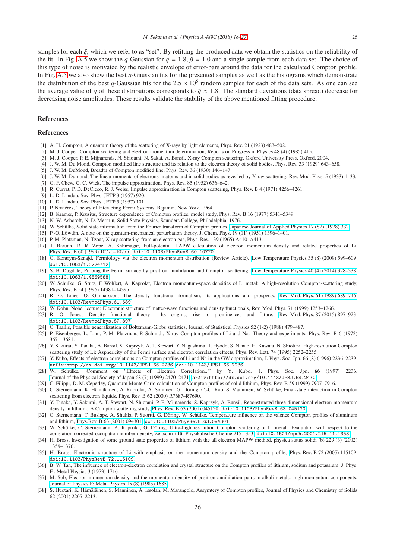samples for each  $\xi$ , which we refer to as "set". By refitting the produced data we obtain the statistics on the reliability of the fit. In Fig. [A.5](#page-7-1) we show the *q*-Gaussian for  $q = 1.8$ ,  $\beta = 1.0$  and a single sample from each data set. The choice of this type of noise is motivated by the realistic envelope of error-bars around the data for the calculated Compton profile. In Fig. [A.5](#page-7-1) we also show the best *q*-Gaussian fits for the presented samples as well as the histograms which demonstrate the distribution of the best *q*-Gaussian fits for the  $2.5 \times 10^5$  random samples for each of the data sets. As one can see the average value of *q* of these distributions corresponds to  $\bar{q} \approx 1.8$ . The standard deviations (data spread) decrease for decreasing noise amplitudes. These results validate the stability of the above mentioned fitting procedure.

# References

#### <span id="page-8-0"></span>References

- <span id="page-8-1"></span>[1] A. H. Compton, A quantum theory of the scattering of X-rays by light elements, Phys. Rev. 21 (1923) 483–502.
- <span id="page-8-2"></span>[2] M. J. Cooper, Compton scattering and electron momentum determination, Reports on Progress in Physics 48 (4) (1985) 415.
- <span id="page-8-3"></span>[3] M. J. Cooper, P. E. Mijnarends, N. Shiotani, N. Sakai, A. Bansil, X-ray Compton scattering, Oxford University Press, Oxford, 2004.
- <span id="page-8-4"></span>[4] J. W. M. Du Mond, Compton modified line structure and its relation to the electron theory of solid bodies, Phys. Rev. 33 (1929) 643–658.
- [5] J. W. M. DuMond, Breadth of Compton modified line, Phys. Rev. 36 (1930) 146–147.
- <span id="page-8-5"></span>[6] J. W. M. Dumond, The linear momenta of electrons in atoms and in solid bodies as revealed by X-ray scattering, Rev. Mod. Phys. 5 (1933) 1–33.
- <span id="page-8-6"></span>[7] G. F. Chew, G. C. Wick, The impulse approximation, Phys. Rev. 85 (1952) 636–642.
- <span id="page-8-7"></span>[8] R. Currat, P. D. DeCicco, R. J. Weiss, Impulse approximation in Compton scattering, Phys. Rev. B 4 (1971) 4256–4261.
- <span id="page-8-8"></span>[9] L. D. Landau, Sov. Phys. JETP 3 (1957) 920.
- [10] L. D. Landau, Sov. Phys. JETP 5 (1957) 101.
- <span id="page-8-9"></span>[11] P. Nozières, Theory of Interacting Fermi Systems, Bejamin, New York, 1964.
- <span id="page-8-10"></span>[12] B. Kramer, P. Krusius, Structure dependence of Compton profiles. model study, Phys. Rev. B 16 (1977) 5341–5349.
- <span id="page-8-11"></span>[13] N. W. Ashcroft, N. D. Mermin, Solid State Physics, Saunders College, Philadelphia, 1976.
- <span id="page-8-12"></span>[14] W. Schülke, Solid state information from the Fourier transform of Compton profiles, [Japanese Journal of Applied Physics 17 \(S2\) \(1978\) 332.](http://stacks.iop.org/1347-4065/17/i=S2/a=332)
- <span id="page-8-13"></span>[15] P.-O. Löwdin, A note on the quantum-mechanical perturbation theory, J. Chem. Phys.  $19$  (11) (1951) 1396–1401.
- <span id="page-8-14"></span>[16] P. M. Platzman, N. Tzoar, X-ray scattering from an electron gas, Phys. Rev. 139 (1965) A410–A413.
- <span id="page-8-15"></span>[17] T. Baruah, R. R. Zope, A. Kshirsagar, Full-potential LAPW calculation of electron momentum density and related properties of Li, [Phys. Rev. B 60 \(1999\) 10770–10775.](http://link.aps.org/doi/10.1103/PhysRevB.60.10770) [doi:10.1103/PhysRevB.60.10770](http://dx.doi.org/10.1103/PhysRevB.60.10770).
- [18] G. Kontrym-Sznajd, Fermiology via the electron momentum distribution (Review Article), [Low Temperature Physics](http://scitation.aip.org/content/aip/journal/ltp/35/8/10.1063/1.3224712) 35 (8) (2009) 599–609. [doi:10.1063/1.3224712](http://dx.doi.org/10.1063/1.3224712).
- <span id="page-8-16"></span>[19] S. B. Dugdale, Probing the Fermi surface by positron annihilation and Compton scattering, [Low Temperature Physics](http://scitation.aip.org/content/aip/journal/ltp/40/4/10.1063/1.4869588) 40 (4) (2014) 328–338. [doi:10.1063/1.4869588](http://dx.doi.org/10.1063/1.4869588).
- <span id="page-8-17"></span>[20] W. Schülke, G. Stutz, F. Wohlert, A. Kaprolat, Electron momentum-space densities of Li metal: A high-resolution Compton-scattering study, Phys. Rev. B 54 (1996) 14381–14395.
- <span id="page-8-18"></span>[21] R. O. Jones, O. Gunnarsson, The density functional formalism, its applications and prospects, [Rev. Mod. Phys. 61 \(1989\) 689–746.](http://link.aps.org/doi/10.1103/RevModPhys.61.689) [doi:10.1103/RevModPhys.61.689](http://dx.doi.org/10.1103/RevModPhys.61.689).
- [22] W. Kohn, Nobel lecture: Electronic structure of matter-wave functions and density functionals, Rev. Mod. Phys. 71 (1999) 1253–1266.
- <span id="page-8-19"></span>[23] R. O. Jones, Density functional theory: Its origins, rise to prominence, and future, [Rev. Mod. Phys. 87 \(2015\) 897–923.](http://link.aps.org/doi/10.1103/RevModPhys.87.897) [doi:10.1103/RevModPhys.87.897](http://dx.doi.org/10.1103/RevModPhys.87.897).
- <span id="page-8-20"></span>[24] C. Tsallis, Possible generalization of Boltzmann-Gibbs statistics, Journal of Statistical Physics 52 (1-2) (1988) 479–487.
- <span id="page-8-21"></span>[25] P. Eisenberger, L. Lam, P. M. Platzman, P. Schmidt, X-ray Compton profiles of Li and Na: Theory and experiments, Phys. Rev. B 6 (1972) 3671–3681.
- <span id="page-8-25"></span>[26] Y. Sakurai, Y. Tanaka, A. Bansil, S. Kaprzyk, A. T. Stewart, Y. Nagashima, T. Hyodo, S. Nanao, H. Kawata, N. Shiotani, High-resolution Compton scattering study of Li: Asphericity of the Fermi surface and electron correlation effects, Phys. Rev. Lett. 74 (1995) 2252–2255.
- <span id="page-8-29"></span>[27] Y. Kubo, Effects of electron correlations on Compton profiles of Li and Na in the GW approximation, [J. Phys. Soc. Jpn. 66 \(8\) \(1996\) 2236–2239.](http://dx.doi.org/10.1143/JPSJ.66.2236) [arXiv:http://dx.doi.org/10.1143/JPSJ.66.2236](http://arxiv.org/abs/http://dx.doi.org/10.1143/JPSJ.66.2236), [doi:10.1143/JPSJ.66.2236](http://dx.doi.org/10.1143/JPSJ.66.2236).
- <span id="page-8-30"></span>[28] W. Schülke, Comment on "Effects of Electron Correlation..." by Y. Kubo, J. Phys. Soc. Jpn. 66 (1997) 2236, [Journal of the Physical Society of Japan 68 \(7\) \(1999\) 2470–2471.](http://dx.doi.org/10.1143/JPSJ.68.2470) [arXiv:http://dx.doi.org/10.1143/JPSJ.68.2470](http://arxiv.org/abs/http://dx.doi.org/10.1143/JPSJ.68.2470).
- <span id="page-8-28"></span>[29] C. Filippi, D. M. Ceperley, Quantum Monte Carlo calculation of Compton profiles of solid lithium, Phys. Rev. B 59 (1999) 7907–7916.
- <span id="page-8-23"></span>[30] C. Sternemann, K. Hämäläinen, A. Kaprolat, A. Soininen, G. Döring, C.-C. Kao, S. Manninen, W. Schülke, Final-state interaction in Compton scattering from electron liquids, Phys. Rev. B 62 (2000) R7687–R7690.
- <span id="page-8-27"></span>[31] Y. Tanaka, Y. Sakurai, A. T. Stewart, N. Shiotani, P. E. Mijnarends, S. Kaprzyk, A. Bansil, Reconstructed three-dimensional electron momentum density in lithium: A Compton scattering study, Phys. Rev. B [63 \(2001\) 045120.](http://link.aps.org/doi/10.1103/PhysRevB.63.045120) [doi:10.1103/PhysRevB.63.045120](http://dx.doi.org/10.1103/PhysRevB.63.045120).
- [32] C. Sternemann, T. Buslaps, A. Shukla, P. Suortti, G. Döring, W. Schülke, Temperature influence on the valence Compton profiles of aluminum and lithium, [Phys.Rev. B 63 \(2001\) 094301.](http://link.aps.org/doi/10.1103/PhysRevB.63.094301) [doi:10.1103/PhysRevB.63.094301](http://dx.doi.org/10.1103/PhysRevB.63.094301).
- <span id="page-8-26"></span>[33] W. Schülke, C. Sternemann, A. Kaprolat, G. Döring, Ultra-high resolution Compton scattering of Li metal: Evaluation with respect to the correlation corrected occupation number density, Zeitschrift für Physikalische Chemie 215 1353. [doi:10.1524/zpch.2001.215.11.1353](http://dx.doi.org/10.1524/zpch.2001.215.11.1353).
- [34] H. Bross, Investigation of some ground state properties of lithium with the all electron MAPW method, physica status solidi (b) 229 (3) (2002) 1359–1370.
- <span id="page-8-22"></span>[35] H. Bross, Electronic structure of Li with emphasis on the momentum density and the Compton profile, [Phys. Rev. B 72 \(2005\) 115109.](http://link.aps.org/doi/10.1103/PhysRevB.72.115109) [doi:10.1103/PhysRevB.72.115109](http://dx.doi.org/10.1103/PhysRevB.72.115109).
- <span id="page-8-24"></span>[36] B. W. Tan, The influence of electron-electron correlation and crystal structure on the Compton profiles of lithium, sodium and potassium, J. Phys. F.: Metal Physics 3 (1973) 1716.
- [37] M. Sob, Electron momentum density and the momentum density of positron annihilation pairs in alkali metals: high-momentum components, [Journal of Physics F: Metal Physics 15 \(8\) \(1985\) 1685.](http://stacks.iop.org/0305-4608/15/i=8/a=008)
- [38] S. Huotari, K. Hämäläinen, S. Manninen, A. Issolah, M. Marangolo, Assymtery of Compton profiles, Journal of Physics and Chemistry of Solids 62 (2001) 2205–2213.